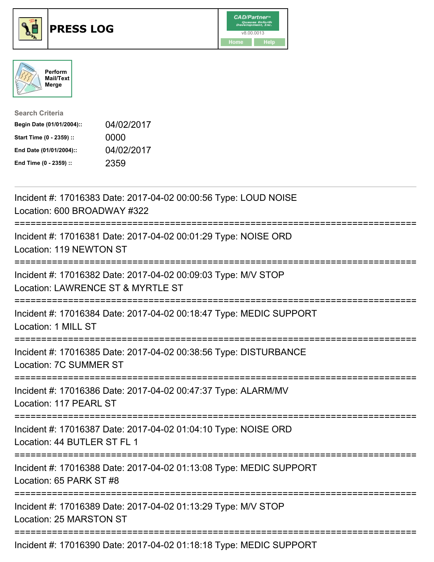





| <b>Search Criteria</b>    |            |
|---------------------------|------------|
| Begin Date (01/01/2004):: | 04/02/2017 |
| Start Time (0 - 2359) ::  | 0000       |
| End Date (01/01/2004)::   | 04/02/2017 |
| End Time (0 - 2359) ::    | 2359       |

| Incident #: 17016383 Date: 2017-04-02 00:00:56 Type: LOUD NOISE<br>Location: 600 BROADWAY #322                                 |
|--------------------------------------------------------------------------------------------------------------------------------|
| Incident #: 17016381 Date: 2017-04-02 00:01:29 Type: NOISE ORD<br>Location: 119 NEWTON ST<br>---------------                   |
| Incident #: 17016382 Date: 2017-04-02 00:09:03 Type: M/V STOP<br>Location: LAWRENCE ST & MYRTLE ST<br>-----------              |
| Incident #: 17016384 Date: 2017-04-02 00:18:47 Type: MEDIC SUPPORT<br>Location: 1 MILL ST<br>;================================ |
| Incident #: 17016385 Date: 2017-04-02 00:38:56 Type: DISTURBANCE<br>Location: 7C SUMMER ST                                     |
| Incident #: 17016386 Date: 2017-04-02 00:47:37 Type: ALARM/MV<br>Location: 117 PEARL ST                                        |
| Incident #: 17016387 Date: 2017-04-02 01:04:10 Type: NOISE ORD<br>Location: 44 BUTLER ST FL 1                                  |
| Incident #: 17016388 Date: 2017-04-02 01:13:08 Type: MEDIC SUPPORT<br>Location: 65 PARK ST #8                                  |
| Incident #: 17016389 Date: 2017-04-02 01:13:29 Type: M/V STOP<br>Location: 25 MARSTON ST                                       |
| Incident #: 17016390 Date: 2017-04-02 01:18:18 Type: MEDIC SUPPORT                                                             |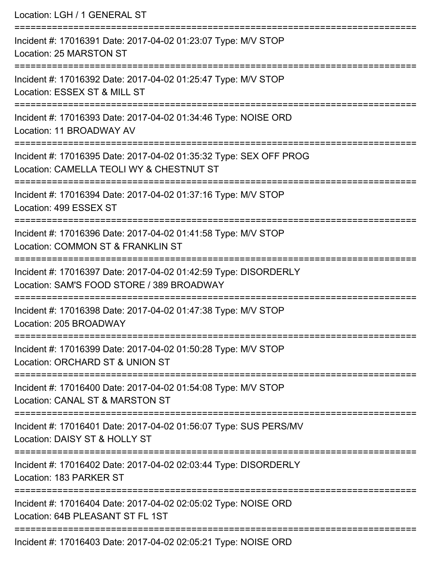Location: LGH / 1 GENERAL ST

=========================================================================== Incident #: 17016391 Date: 2017-04-02 01:23:07 Type: M/V STOP Location: 25 MARSTON ST =========================================================================== Incident #: 17016392 Date: 2017-04-02 01:25:47 Type: M/V STOP Location: ESSEX ST & MILL ST =========================================================================== Incident #: 17016393 Date: 2017-04-02 01:34:46 Type: NOISE ORD Location: 11 BROADWAY AV =========================================================================== Incident #: 17016395 Date: 2017-04-02 01:35:32 Type: SEX OFF PROG Location: CAMELLA TEOLI WY & CHESTNUT ST =========================================================================== Incident #: 17016394 Date: 2017-04-02 01:37:16 Type: M/V STOP Location: 499 ESSEX ST =========================================================================== Incident #: 17016396 Date: 2017-04-02 01:41:58 Type: M/V STOP Location: COMMON ST & FRANKLIN ST =========================================================================== Incident #: 17016397 Date: 2017-04-02 01:42:59 Type: DISORDERLY Location: SAM'S FOOD STORE / 389 BROADWAY =========================================================================== Incident #: 17016398 Date: 2017-04-02 01:47:38 Type: M/V STOP Location: 205 BROADWAY =========================================================================== Incident #: 17016399 Date: 2017-04-02 01:50:28 Type: M/V STOP Location: ORCHARD ST & UNION ST =========================================================================== Incident #: 17016400 Date: 2017-04-02 01:54:08 Type: M/V STOP Location: CANAL ST & MARSTON ST =========================================================================== Incident #: 17016401 Date: 2017-04-02 01:56:07 Type: SUS PERS/MV Location: DAISY ST & HOLLY ST =========================================================================== Incident #: 17016402 Date: 2017-04-02 02:03:44 Type: DISORDERLY Location: 183 PARKER ST =========================================================================== Incident #: 17016404 Date: 2017-04-02 02:05:02 Type: NOISE ORD Location: 64B PLEASANT ST FL 1ST =========================================================================== Incident #: 17016403 Date: 2017-04-02 02:05:21 Type: NOISE ORD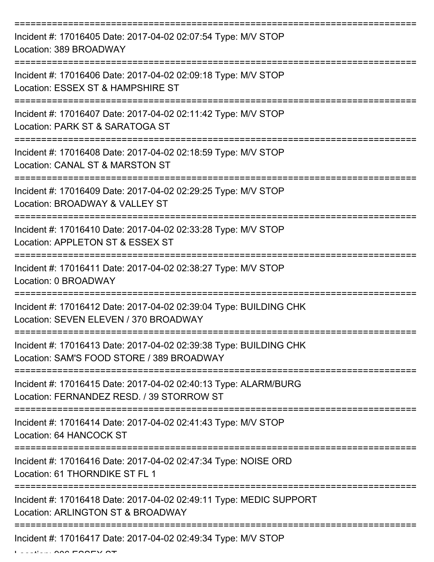| Incident #: 17016405 Date: 2017-04-02 02:07:54 Type: M/V STOP<br>Location: 389 BROADWAY                        |
|----------------------------------------------------------------------------------------------------------------|
| Incident #: 17016406 Date: 2017-04-02 02:09:18 Type: M/V STOP<br>Location: ESSEX ST & HAMPSHIRE ST             |
| Incident #: 17016407 Date: 2017-04-02 02:11:42 Type: M/V STOP<br>Location: PARK ST & SARATOGA ST               |
| Incident #: 17016408 Date: 2017-04-02 02:18:59 Type: M/V STOP<br>Location: CANAL ST & MARSTON ST               |
| Incident #: 17016409 Date: 2017-04-02 02:29:25 Type: M/V STOP<br>Location: BROADWAY & VALLEY ST                |
| Incident #: 17016410 Date: 2017-04-02 02:33:28 Type: M/V STOP<br>Location: APPLETON ST & ESSEX ST              |
| Incident #: 17016411 Date: 2017-04-02 02:38:27 Type: M/V STOP<br>Location: 0 BROADWAY                          |
| Incident #: 17016412 Date: 2017-04-02 02:39:04 Type: BUILDING CHK<br>Location: SEVEN ELEVEN / 370 BROADWAY     |
| Incident #: 17016413 Date: 2017-04-02 02:39:38 Type: BUILDING CHK<br>Location: SAM'S FOOD STORE / 389 BROADWAY |
| Incident #: 17016415 Date: 2017-04-02 02:40:13 Type: ALARM/BURG<br>Location: FERNANDEZ RESD. / 39 STORROW ST   |
| Incident #: 17016414 Date: 2017-04-02 02:41:43 Type: M/V STOP<br>Location: 64 HANCOCK ST                       |
| Incident #: 17016416 Date: 2017-04-02 02:47:34 Type: NOISE ORD<br>Location: 61 THORNDIKE ST FL 1               |
| Incident #: 17016418 Date: 2017-04-02 02:49:11 Type: MEDIC SUPPORT<br>Location: ARLINGTON ST & BROADWAY        |
| Incident #: 17016417 Date: 2017-04-02 02:49:34 Type: M/V STOP                                                  |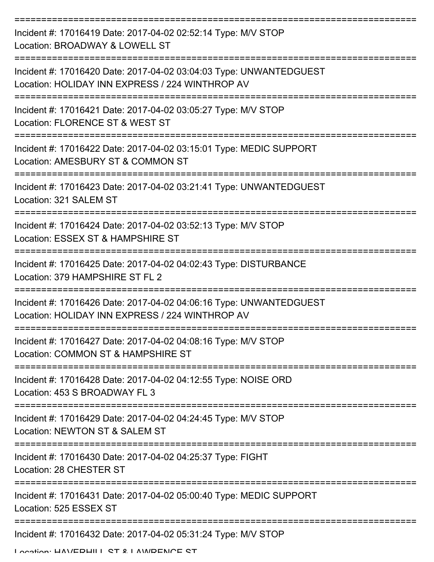| Incident #: 17016419 Date: 2017-04-02 02:52:14 Type: M/V STOP<br>Location: BROADWAY & LOWELL ST                                     |
|-------------------------------------------------------------------------------------------------------------------------------------|
| Incident #: 17016420 Date: 2017-04-02 03:04:03 Type: UNWANTEDGUEST<br>Location: HOLIDAY INN EXPRESS / 224 WINTHROP AV               |
| Incident #: 17016421 Date: 2017-04-02 03:05:27 Type: M/V STOP<br>Location: FLORENCE ST & WEST ST                                    |
| Incident #: 17016422 Date: 2017-04-02 03:15:01 Type: MEDIC SUPPORT<br>Location: AMESBURY ST & COMMON ST                             |
| Incident #: 17016423 Date: 2017-04-02 03:21:41 Type: UNWANTEDGUEST<br>Location: 321 SALEM ST                                        |
| Incident #: 17016424 Date: 2017-04-02 03:52:13 Type: M/V STOP<br>Location: ESSEX ST & HAMPSHIRE ST                                  |
| Incident #: 17016425 Date: 2017-04-02 04:02:43 Type: DISTURBANCE<br>Location: 379 HAMPSHIRE ST FL 2                                 |
| ==========<br>Incident #: 17016426 Date: 2017-04-02 04:06:16 Type: UNWANTEDGUEST<br>Location: HOLIDAY INN EXPRESS / 224 WINTHROP AV |
| Incident #: 17016427 Date: 2017-04-02 04:08:16 Type: M/V STOP<br>Location: COMMON ST & HAMPSHIRE ST                                 |
| Incident #: 17016428 Date: 2017-04-02 04:12:55 Type: NOISE ORD<br>Location: 453 S BROADWAY FL 3                                     |
| Incident #: 17016429 Date: 2017-04-02 04:24:45 Type: M/V STOP<br>Location: NEWTON ST & SALEM ST                                     |
| Incident #: 17016430 Date: 2017-04-02 04:25:37 Type: FIGHT<br>Location: 28 CHESTER ST                                               |
| Incident #: 17016431 Date: 2017-04-02 05:00:40 Type: MEDIC SUPPORT<br>Location: 525 ESSEX ST                                        |
| Incident #: 17016432 Date: 2017-04-02 05:31:24 Type: M/V STOP                                                                       |

Location: HAVEDHILL ST & LAMDENCE ST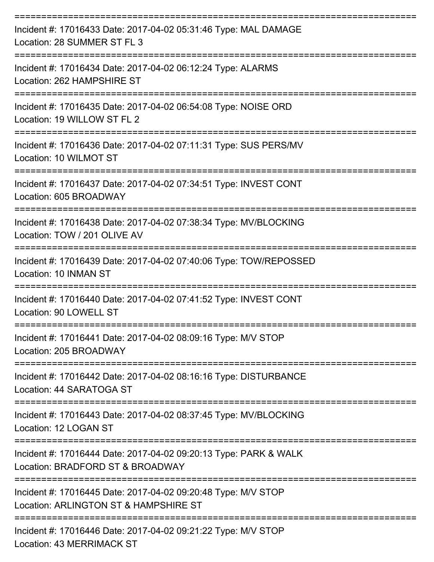| Incident #: 17016433 Date: 2017-04-02 05:31:46 Type: MAL DAMAGE<br>Location: 28 SUMMER ST FL 3         |
|--------------------------------------------------------------------------------------------------------|
| Incident #: 17016434 Date: 2017-04-02 06:12:24 Type: ALARMS<br>Location: 262 HAMPSHIRE ST              |
| Incident #: 17016435 Date: 2017-04-02 06:54:08 Type: NOISE ORD<br>Location: 19 WILLOW ST FL 2          |
| Incident #: 17016436 Date: 2017-04-02 07:11:31 Type: SUS PERS/MV<br>Location: 10 WILMOT ST             |
| Incident #: 17016437 Date: 2017-04-02 07:34:51 Type: INVEST CONT<br>Location: 605 BROADWAY             |
| Incident #: 17016438 Date: 2017-04-02 07:38:34 Type: MV/BLOCKING<br>Location: TOW / 201 OLIVE AV       |
| Incident #: 17016439 Date: 2017-04-02 07:40:06 Type: TOW/REPOSSED<br>Location: 10 INMAN ST             |
| Incident #: 17016440 Date: 2017-04-02 07:41:52 Type: INVEST CONT<br>Location: 90 LOWELL ST             |
| Incident #: 17016441 Date: 2017-04-02 08:09:16 Type: M/V STOP<br>Location: 205 BROADWAY                |
| Incident #: 17016442 Date: 2017-04-02 08:16:16 Type: DISTURBANCE<br>Location: 44 SARATOGA ST           |
| Incident #: 17016443 Date: 2017-04-02 08:37:45 Type: MV/BLOCKING<br>Location: 12 LOGAN ST              |
| Incident #: 17016444 Date: 2017-04-02 09:20:13 Type: PARK & WALK<br>Location: BRADFORD ST & BROADWAY   |
| Incident #: 17016445 Date: 2017-04-02 09:20:48 Type: M/V STOP<br>Location: ARLINGTON ST & HAMPSHIRE ST |
| Incident #: 17016446 Date: 2017-04-02 09:21:22 Type: M/V STOP                                          |

Location: 43 MERRIMACK ST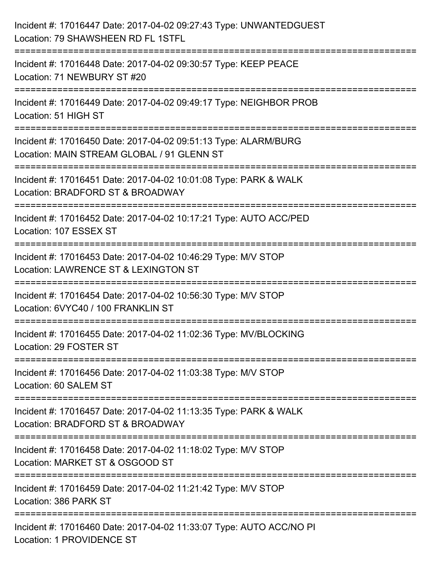| Incident #: 17016447 Date: 2017-04-02 09:27:43 Type: UNWANTEDGUEST<br>Location: 79 SHAWSHEEN RD FL 1STFL                                      |
|-----------------------------------------------------------------------------------------------------------------------------------------------|
| Incident #: 17016448 Date: 2017-04-02 09:30:57 Type: KEEP PEACE<br>Location: 71 NEWBURY ST #20                                                |
| Incident #: 17016449 Date: 2017-04-02 09:49:17 Type: NEIGHBOR PROB<br>Location: 51 HIGH ST                                                    |
| Incident #: 17016450 Date: 2017-04-02 09:51:13 Type: ALARM/BURG<br>Location: MAIN STREAM GLOBAL / 91 GLENN ST                                 |
| Incident #: 17016451 Date: 2017-04-02 10:01:08 Type: PARK & WALK<br>Location: BRADFORD ST & BROADWAY<br>:====================<br>============ |
| Incident #: 17016452 Date: 2017-04-02 10:17:21 Type: AUTO ACC/PED<br>Location: 107 ESSEX ST                                                   |
| Incident #: 17016453 Date: 2017-04-02 10:46:29 Type: M/V STOP<br>Location: LAWRENCE ST & LEXINGTON ST                                         |
| Incident #: 17016454 Date: 2017-04-02 10:56:30 Type: M/V STOP<br>Location: 6VYC40 / 100 FRANKLIN ST                                           |
| Incident #: 17016455 Date: 2017-04-02 11:02:36 Type: MV/BLOCKING<br>Location: 29 FOSTER ST                                                    |
| Incident #: 17016456 Date: 2017-04-02 11:03:38 Type: M/V STOP<br>Location: 60 SALEM ST                                                        |
| Incident #: 17016457 Date: 2017-04-02 11:13:35 Type: PARK & WALK<br>Location: BRADFORD ST & BROADWAY                                          |
| Incident #: 17016458 Date: 2017-04-02 11:18:02 Type: M/V STOP<br>Location: MARKET ST & OSGOOD ST                                              |
| Incident #: 17016459 Date: 2017-04-02 11:21:42 Type: M/V STOP<br>Location: 386 PARK ST                                                        |
| Incident #: 17016460 Date: 2017-04-02 11:33:07 Type: AUTO ACC/NO PI<br><b>Location: 1 PROVIDENCE ST</b>                                       |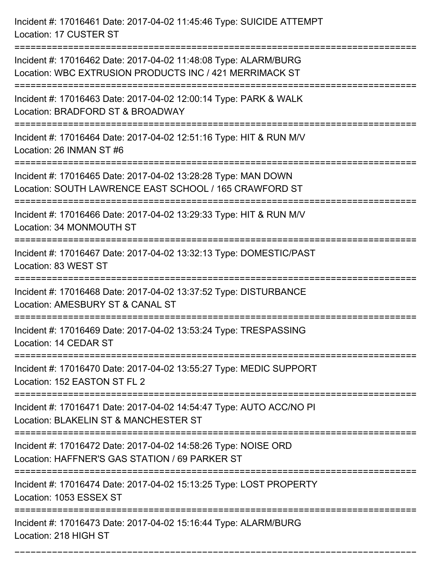Incident #: 17016461 Date: 2017-04-02 11:45:46 Type: SUICIDE ATTEMPT Location: 17 CUSTER ST

=========================================================================== Incident #: 17016462 Date: 2017-04-02 11:48:08 Type: ALARM/BURG Location: WBC EXTRUSION PRODUCTS INC / 421 MERRIMACK ST =========================================================================== Incident #: 17016463 Date: 2017-04-02 12:00:14 Type: PARK & WALK Location: BRADFORD ST & BROADWAY =========================================================================== Incident #: 17016464 Date: 2017-04-02 12:51:16 Type: HIT & RUN M/V Location: 26 INMAN ST #6 =========================================================================== Incident #: 17016465 Date: 2017-04-02 13:28:28 Type: MAN DOWN Location: SOUTH LAWRENCE EAST SCHOOL / 165 CRAWFORD ST =========================================================================== Incident #: 17016466 Date: 2017-04-02 13:29:33 Type: HIT & RUN M/V Location: 34 MONMOUTH ST =========================================================================== Incident #: 17016467 Date: 2017-04-02 13:32:13 Type: DOMESTIC/PAST Location: 83 WEST ST =========================================================================== Incident #: 17016468 Date: 2017-04-02 13:37:52 Type: DISTURBANCE Location: AMESBURY ST & CANAL ST =========================================================================== Incident #: 17016469 Date: 2017-04-02 13:53:24 Type: TRESPASSING Location: 14 CEDAR ST =========================================================================== Incident #: 17016470 Date: 2017-04-02 13:55:27 Type: MEDIC SUPPORT Location: 152 EASTON ST FL 2 =========================================================================== Incident #: 17016471 Date: 2017-04-02 14:54:47 Type: AUTO ACC/NO PI Location: BLAKELIN ST & MANCHESTER ST =========================================================================== Incident #: 17016472 Date: 2017-04-02 14:58:26 Type: NOISE ORD Location: HAFFNER'S GAS STATION / 69 PARKER ST =========================================================================== Incident #: 17016474 Date: 2017-04-02 15:13:25 Type: LOST PROPERTY Location: 1053 ESSEX ST =========================================================================== Incident #: 17016473 Date: 2017-04-02 15:16:44 Type: ALARM/BURG Location: 218 HIGH ST ===========================================================================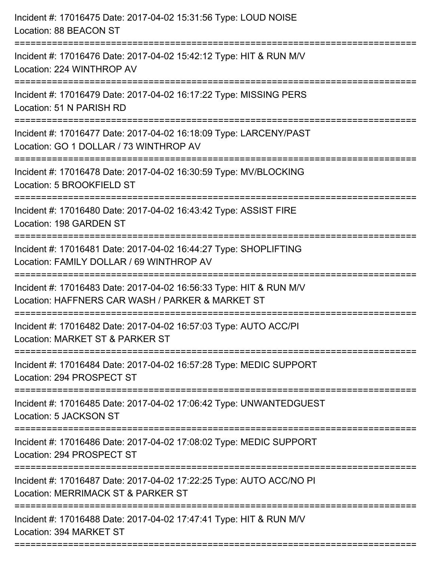| Incident #: 17016475 Date: 2017-04-02 15:31:56 Type: LOUD NOISE<br>Location: 88 BEACON ST                              |
|------------------------------------------------------------------------------------------------------------------------|
| Incident #: 17016476 Date: 2017-04-02 15:42:12 Type: HIT & RUN M/V<br>Location: 224 WINTHROP AV                        |
| Incident #: 17016479 Date: 2017-04-02 16:17:22 Type: MISSING PERS<br>Location: 51 N PARISH RD                          |
| Incident #: 17016477 Date: 2017-04-02 16:18:09 Type: LARCENY/PAST<br>Location: GO 1 DOLLAR / 73 WINTHROP AV            |
| Incident #: 17016478 Date: 2017-04-02 16:30:59 Type: MV/BLOCKING<br>Location: 5 BROOKFIELD ST                          |
| Incident #: 17016480 Date: 2017-04-02 16:43:42 Type: ASSIST FIRE<br>Location: 198 GARDEN ST                            |
| Incident #: 17016481 Date: 2017-04-02 16:44:27 Type: SHOPLIFTING<br>Location: FAMILY DOLLAR / 69 WINTHROP AV           |
| Incident #: 17016483 Date: 2017-04-02 16:56:33 Type: HIT & RUN M/V<br>Location: HAFFNERS CAR WASH / PARKER & MARKET ST |
| Incident #: 17016482 Date: 2017-04-02 16:57:03 Type: AUTO ACC/PI<br>Location: MARKET ST & PARKER ST                    |
| Incident #: 17016484 Date: 2017-04-02 16:57:28 Type: MEDIC SUPPORT<br>Location: 294 PROSPECT ST                        |
| Incident #: 17016485 Date: 2017-04-02 17:06:42 Type: UNWANTEDGUEST<br>Location: 5 JACKSON ST                           |
| Incident #: 17016486 Date: 2017-04-02 17:08:02 Type: MEDIC SUPPORT<br>Location: 294 PROSPECT ST                        |
| Incident #: 17016487 Date: 2017-04-02 17:22:25 Type: AUTO ACC/NO PI<br>Location: MERRIMACK ST & PARKER ST              |
| Incident #: 17016488 Date: 2017-04-02 17:47:41 Type: HIT & RUN M/V<br>Location: 394 MARKET ST                          |
|                                                                                                                        |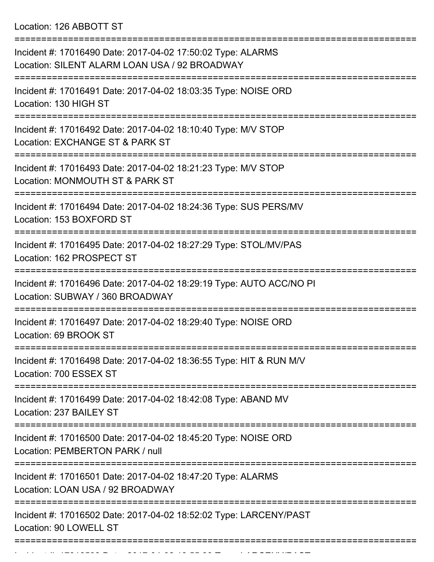Location: 126 ABBOTT ST

=========================================================================== Incident #: 17016490 Date: 2017-04-02 17:50:02 Type: ALARMS Location: SILENT ALARM LOAN USA / 92 BROADWAY =========================================================================== Incident #: 17016491 Date: 2017-04-02 18:03:35 Type: NOISE ORD Location: 130 HIGH ST =========================================================================== Incident #: 17016492 Date: 2017-04-02 18:10:40 Type: M/V STOP Location: EXCHANGE ST & PARK ST =========================================================================== Incident #: 17016493 Date: 2017-04-02 18:21:23 Type: M/V STOP Location: MONMOUTH ST & PARK ST =========================================================================== Incident #: 17016494 Date: 2017-04-02 18:24:36 Type: SUS PERS/MV Location: 153 BOXFORD ST =========================================================================== Incident #: 17016495 Date: 2017-04-02 18:27:29 Type: STOL/MV/PAS Location: 162 PROSPECT ST =========================================================================== Incident #: 17016496 Date: 2017-04-02 18:29:19 Type: AUTO ACC/NO PI Location: SUBWAY / 360 BROADWAY =========================================================================== Incident #: 17016497 Date: 2017-04-02 18:29:40 Type: NOISE ORD Location: 69 BROOK ST =========================================================================== Incident #: 17016498 Date: 2017-04-02 18:36:55 Type: HIT & RUN M/V Location: 700 ESSEX ST =========================================================================== Incident #: 17016499 Date: 2017-04-02 18:42:08 Type: ABAND MV Location: 237 BAILEY ST =========================================================================== Incident #: 17016500 Date: 2017-04-02 18:45:20 Type: NOISE ORD Location: PEMBERTON PARK / null =========================================================================== Incident #: 17016501 Date: 2017-04-02 18:47:20 Type: ALARMS Location: LOAN USA / 92 BROADWAY =========================================================================== Incident #: 17016502 Date: 2017-04-02 18:52:02 Type: LARCENY/PAST Location: 90 LOWELL ST ===========================================================================

Incident #: 17016503 Date: 2017 04 02 18:55:39 Type: 2017 04 02 18:55:39 Type: 2017 04:55:39 Type: 2017 04:55<br>.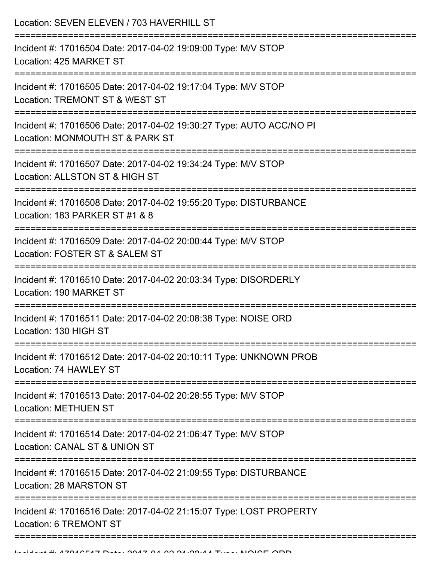| Location: SEVEN ELEVEN / 703 HAVERHILL ST<br>======================                                    |
|--------------------------------------------------------------------------------------------------------|
| Incident #: 17016504 Date: 2017-04-02 19:09:00 Type: M/V STOP<br>Location: 425 MARKET ST               |
| Incident #: 17016505 Date: 2017-04-02 19:17:04 Type: M/V STOP<br>Location: TREMONT ST & WEST ST        |
| Incident #: 17016506 Date: 2017-04-02 19:30:27 Type: AUTO ACC/NO PI<br>Location: MONMOUTH ST & PARK ST |
| Incident #: 17016507 Date: 2017-04-02 19:34:24 Type: M/V STOP<br>Location: ALLSTON ST & HIGH ST        |
| Incident #: 17016508 Date: 2017-04-02 19:55:20 Type: DISTURBANCE<br>Location: 183 PARKER ST #1 & 8     |
| Incident #: 17016509 Date: 2017-04-02 20:00:44 Type: M/V STOP<br>Location: FOSTER ST & SALEM ST        |
| Incident #: 17016510 Date: 2017-04-02 20:03:34 Type: DISORDERLY<br>Location: 190 MARKET ST             |
| Incident #: 17016511 Date: 2017-04-02 20:08:38 Type: NOISE ORD<br>Location: 130 HIGH ST                |
| Incident #: 17016512 Date: 2017-04-02 20:10:11 Type: UNKNOWN PROB<br>Location: 74 HAWLEY ST            |
| Incident #: 17016513 Date: 2017-04-02 20:28:55 Type: M/V STOP<br><b>Location: METHUEN ST</b>           |
| Incident #: 17016514 Date: 2017-04-02 21:06:47 Type: M/V STOP<br>Location: CANAL ST & UNION ST         |
| Incident #: 17016515 Date: 2017-04-02 21:09:55 Type: DISTURBANCE<br>Location: 28 MARSTON ST            |
| Incident #: 17016516 Date: 2017-04-02 21:15:07 Type: LOST PROPERTY<br>Location: 6 TREMONT ST           |
|                                                                                                        |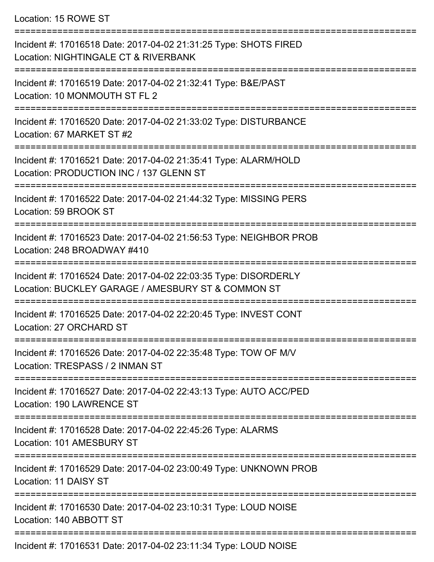Location: 15 ROWE ST

| Incident #: 17016518 Date: 2017-04-02 21:31:25 Type: SHOTS FIRED<br>Location: NIGHTINGALE CT & RIVERBANK                  |
|---------------------------------------------------------------------------------------------------------------------------|
| Incident #: 17016519 Date: 2017-04-02 21:32:41 Type: B&E/PAST<br>Location: 10 MONMOUTH ST FL 2                            |
| Incident #: 17016520 Date: 2017-04-02 21:33:02 Type: DISTURBANCE<br>Location: 67 MARKET ST #2                             |
| Incident #: 17016521 Date: 2017-04-02 21:35:41 Type: ALARM/HOLD<br>Location: PRODUCTION INC / 137 GLENN ST                |
| Incident #: 17016522 Date: 2017-04-02 21:44:32 Type: MISSING PERS<br>Location: 59 BROOK ST                                |
| Incident #: 17016523 Date: 2017-04-02 21:56:53 Type: NEIGHBOR PROB<br>Location: 248 BROADWAY #410                         |
| Incident #: 17016524 Date: 2017-04-02 22:03:35 Type: DISORDERLY<br>Location: BUCKLEY GARAGE / AMESBURY ST & COMMON ST     |
| Incident #: 17016525 Date: 2017-04-02 22:20:45 Type: INVEST CONT<br>Location: 27 ORCHARD ST                               |
| Incident #: 17016526 Date: 2017-04-02 22:35:48 Type: TOW OF M/V<br>Location: TRESPASS / 2 INMAN ST                        |
| Incident #: 17016527 Date: 2017-04-02 22:43:13 Type: AUTO ACC/PED<br>Location: 190 LAWRENCE ST                            |
| Incident #: 17016528 Date: 2017-04-02 22:45:26 Type: ALARMS<br>Location: 101 AMESBURY ST                                  |
| Incident #: 17016529 Date: 2017-04-02 23:00:49 Type: UNKNOWN PROB<br>Location: 11 DAISY ST                                |
| Incident #: 17016530 Date: 2017-04-02 23:10:31 Type: LOUD NOISE<br>Location: 140 ABBOTT ST<br>--------------------------- |
| Incident #: 17016531 Date: 2017-04-02 23:11:34 Type: LOUD NOISE                                                           |